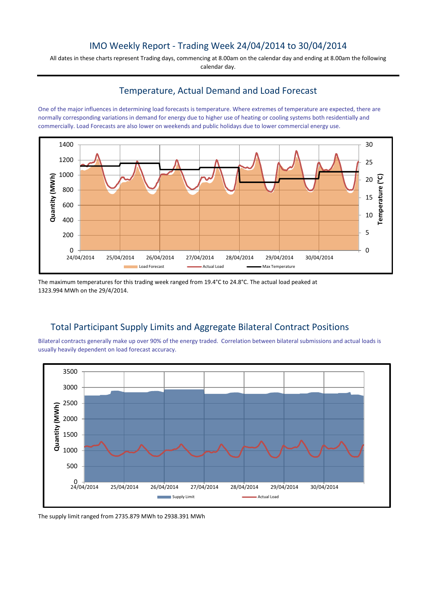### IMO Weekly Report - Trading Week 24/04/2014 to 30/04/2014

All dates in these charts represent Trading days, commencing at 8.00am on the calendar day and ending at 8.00am the following calendar day.

#### Temperature, Actual Demand and Load Forecast

One of the major influences in determining load forecasts is temperature. Where extremes of temperature are expected, there are normally corresponding variations in demand for energy due to higher use of heating or cooling systems both residentially and commercially. Load Forecasts are also lower on weekends and public holidays due to lower commercial energy use.



The maximum temperatures for this trading week ranged from 19.4°C to 24.8°C. The actual load peaked at 1323.994 MWh on the 29/4/2014.

# Total Participant Supply Limits and Aggregate Bilateral Contract Positions

Bilateral contracts generally make up over 90% of the energy traded. Correlation between bilateral submissions and actual loads is usually heavily dependent on load forecast accuracy.



The supply limit ranged from 2735.879 MWh to 2938.391 MWh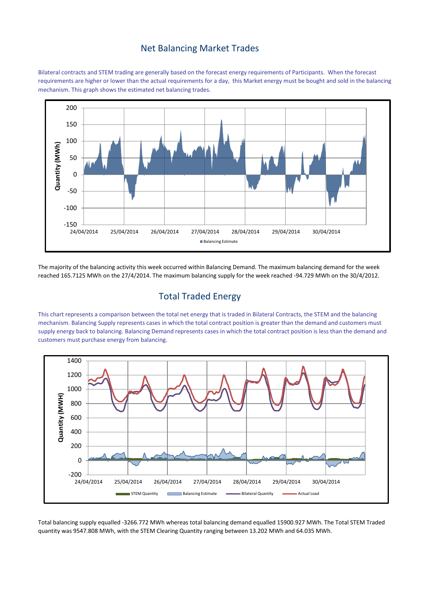#### Net Balancing Market Trades

Bilateral contracts and STEM trading are generally based on the forecast energy requirements of Participants. When the forecast requirements are higher or lower than the actual requirements for a day, this Market energy must be bought and sold in the balancing mechanism. This graph shows the estimated net balancing trades.



The majority of the balancing activity this week occurred within Balancing Demand. The maximum balancing demand for the week reached 165.7125 MWh on the 27/4/2014. The maximum balancing supply for the week reached -94.729 MWh on the 30/4/2012.

## Total Traded Energy

This chart represents a comparison between the total net energy that is traded in Bilateral Contracts, the STEM and the balancing mechanism. Balancing Supply represents cases in which the total contract position is greater than the demand and customers must supply energy back to balancing. Balancing Demand represents cases in which the total contract position is less than the demand and customers must purchase energy from balancing.



Total balancing supply equalled -3266.772 MWh whereas total balancing demand equalled 15900.927 MWh. The Total STEM Traded quantity was 9547.808 MWh, with the STEM Clearing Quantity ranging between 13.202 MWh and 64.035 MWh.